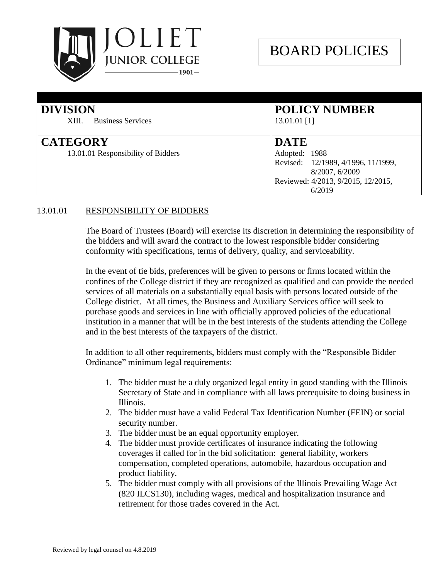

| <b>DIVISION</b><br><b>Business Services</b><br>XIII.  | <b>POLICY NUMBER</b><br>$13.01.01$ [1]                                                                                               |
|-------------------------------------------------------|--------------------------------------------------------------------------------------------------------------------------------------|
| <b>CATEGORY</b><br>13.01.01 Responsibility of Bidders | <b>DATE</b><br>Adopted: 1988<br>Revised: 12/1989, 4/1996, 11/1999,<br>8/2007, 6/2009<br>Reviewed: 4/2013, 9/2015, 12/2015,<br>6/2019 |

## 13.01.01 RESPONSIBILITY OF BIDDERS

The Board of Trustees (Board) will exercise its discretion in determining the responsibility of the bidders and will award the contract to the lowest responsible bidder considering conformity with specifications, terms of delivery, quality, and serviceability.

In the event of tie bids, preferences will be given to persons or firms located within the confines of the College district if they are recognized as qualified and can provide the needed services of all materials on a substantially equal basis with persons located outside of the College district. At all times, the Business and Auxiliary Services office will seek to purchase goods and services in line with officially approved policies of the educational institution in a manner that will be in the best interests of the students attending the College and in the best interests of the taxpayers of the district.

In addition to all other requirements, bidders must comply with the "Responsible Bidder Ordinance" minimum legal requirements:

- 1. The bidder must be a duly organized legal entity in good standing with the Illinois Secretary of State and in compliance with all laws prerequisite to doing business in Illinois.
- 2. The bidder must have a valid Federal Tax Identification Number (FEIN) or social security number.
- 3. The bidder must be an equal opportunity employer.
- 4. The bidder must provide certificates of insurance indicating the following coverages if called for in the bid solicitation: general liability, workers compensation, completed operations, automobile, hazardous occupation and product liability.
- 5. The bidder must comply with all provisions of the Illinois Prevailing Wage Act (820 ILCS130), including wages, medical and hospitalization insurance and retirement for those trades covered in the Act.